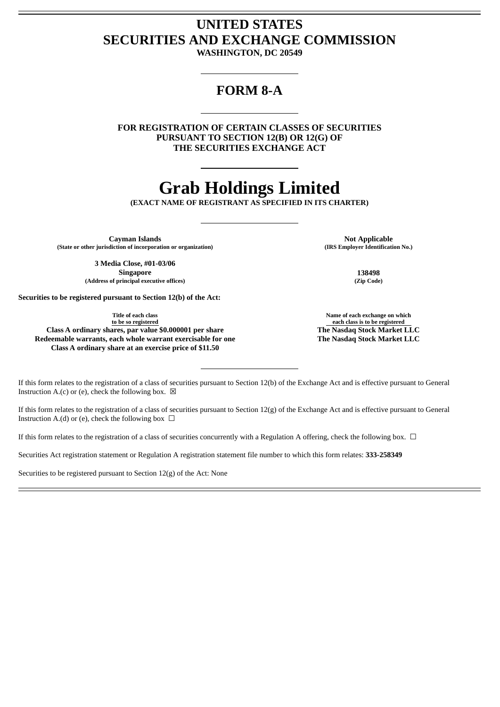## **UNITED STATES SECURITIES AND EXCHANGE COMMISSION**

**WASHINGTON, DC 20549**

### **FORM 8-A**

**FOR REGISTRATION OF CERTAIN CLASSES OF SECURITIES PURSUANT TO SECTION 12(B) OR 12(G) OF THE SECURITIES EXCHANGE ACT**

# **Grab Holdings Limited**

**(EXACT NAME OF REGISTRANT AS SPECIFIED IN ITS CHARTER)**

**Cayman Islands**<br> **Cayman Islands**<br> **CAYMAL CONSECTED MANUST AND MANUSICAL CONSECTATION OF THE SEMPLOYER THE ISLANDS (IRS Employer Identification No.) (State or other jurisdiction of incorporation or organization) (IRS Employer Identification No.)**

**3 Media Close, #01-03/06 Singapore 138498 (Address of principal executive offices) (Zip Code)**

**Securities to be registered pursuant to Section 12(b) of the Act:**

**Title of each class to be so registered Class A ordinary shares, par value \$0.000001 per share The Nasdaq Stock Market LLC Redeemable warrants, each whole warrant exercisable for one**

**Class A ordinary share at an exercise price of \$11.50**

**Name of each exchange on which each class is to be registered The Nasdaq Stock Market LLC**

If this form relates to the registration of a class of securities pursuant to Section 12(b) of the Exchange Act and is effective pursuant to General Instruction A.(c) or (e), check the following box.  $\boxtimes$ 

If this form relates to the registration of a class of securities pursuant to Section 12(g) of the Exchange Act and is effective pursuant to General Instruction A.(d) or (e), check the following box  $\Box$ 

If this form relates to the registration of a class of securities concurrently with a Regulation A offering, check the following box.  $\Box$ 

Securities Act registration statement or Regulation A registration statement file number to which this form relates: **333-258349**

Securities to be registered pursuant to Section 12(g) of the Act: None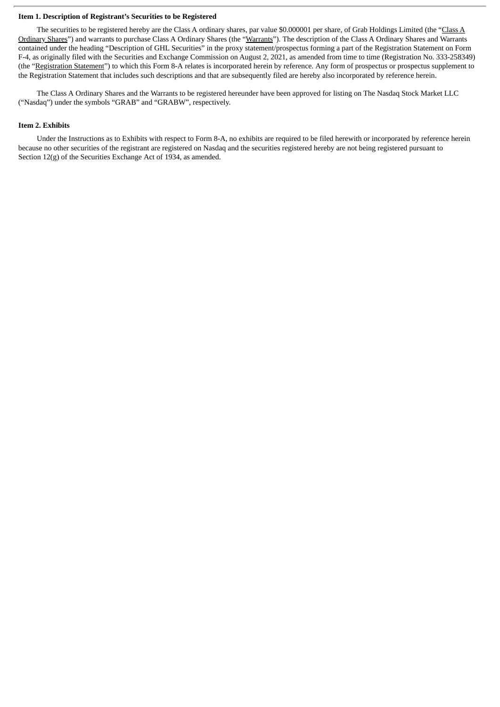#### **Item 1. Description of Registrant's Securities to be Registered**

The securities to be registered hereby are the Class A ordinary shares, par value \$0.000001 per share, of Grab Holdings Limited (the "Class A Ordinary Shares") and warrants to purchase Class A Ordinary Shares (the "Warrants"). The description of the Class A Ordinary Shares and Warrants contained under the heading "Description of GHL Securities" in the proxy statement/prospectus forming a part of the Registration Statement on Form F-4, as originally filed with the Securities and Exchange Commission on August 2, 2021, as amended from time to time (Registration No. 333-258349) (the "Registration Statement") to which this Form 8-A relates is incorporated herein by reference. Any form of prospectus or prospectus supplement to the Registration Statement that includes such descriptions and that are subsequently filed are hereby also incorporated by reference herein.

The Class A Ordinary Shares and the Warrants to be registered hereunder have been approved for listing on The Nasdaq Stock Market LLC ("Nasdaq") under the symbols "GRAB" and "GRABW", respectively.

#### **Item 2. Exhibits**

Under the Instructions as to Exhibits with respect to Form 8-A, no exhibits are required to be filed herewith or incorporated by reference herein because no other securities of the registrant are registered on Nasdaq and the securities registered hereby are not being registered pursuant to Section 12(g) of the Securities Exchange Act of 1934, as amended.